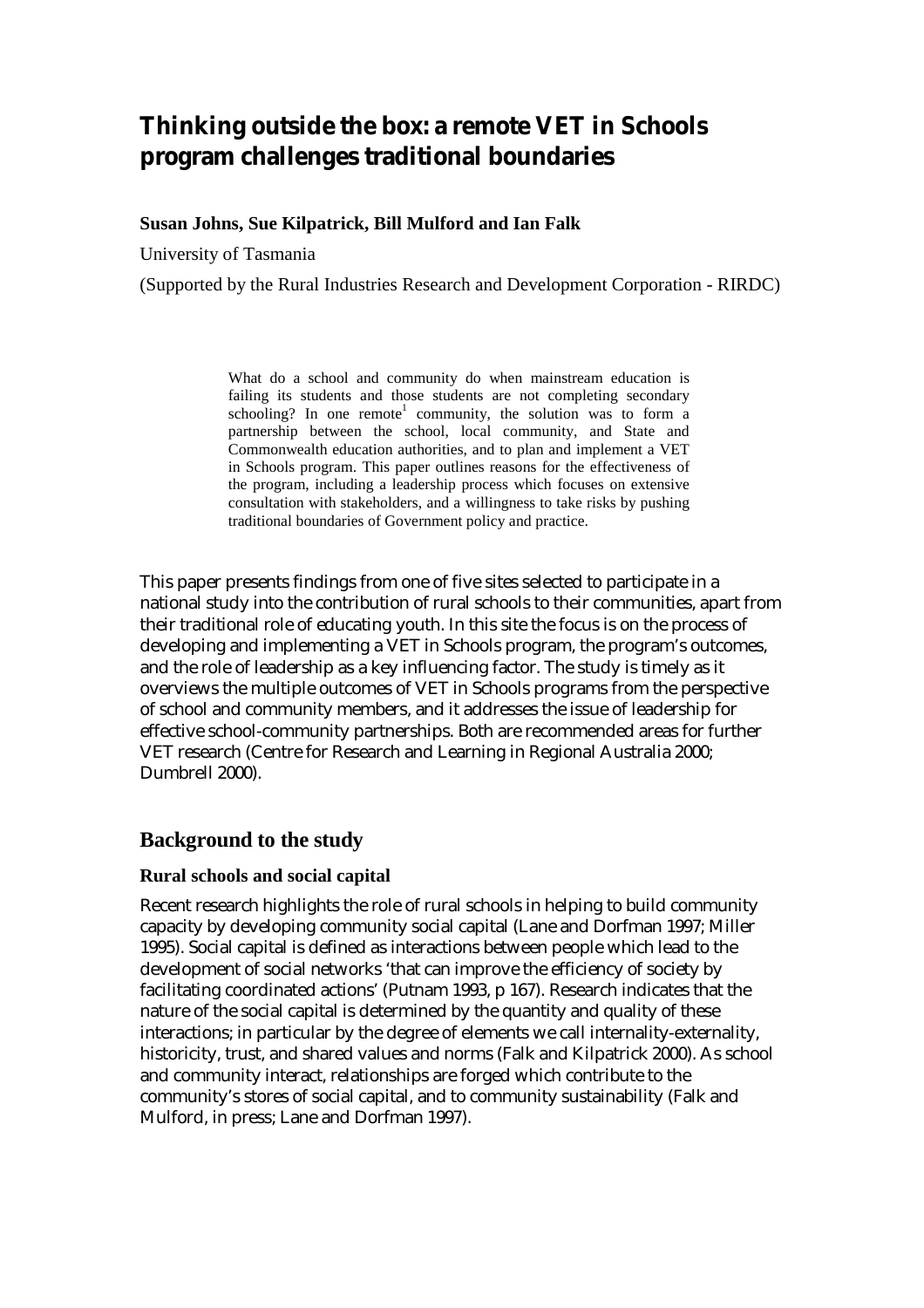# **Thinking outside the box: a remote VET in Schools program challenges traditional boundaries**

#### **Susan Johns, Sue Kilpatrick, Bill Mulford and Ian Falk**

University of Tasmania

(Supported by the Rural Industries Research and Development Corporation - RIRDC)

What do a school and community do when mainstream education is failing its students and those students are not completing secondary  $schooling?$  In one remote<sup>1</sup> community, the solution was to form a partnership between the school, local community, and State and Commonwealth education authorities, and to plan and implement a VET in Schools program. This paper outlines reasons for the effectiveness of the program, including a leadership process which focuses on extensive consultation with stakeholders, and a willingness to take risks by pushing traditional boundaries of Government policy and practice.

This paper presents findings from one of five sites selected to participate in a national study into the contribution of rural schools to their communities, apart from their traditional role of educating youth. In this site the focus is on the process of developing and implementing a VET in Schools program, the program's outcomes, and the role of leadership as a key influencing factor. The study is timely as it overviews the multiple outcomes of VET in Schools programs from the perspective of school and community members, and it addresses the issue of leadership for effective school-community partnerships. Both are recommended areas for further VET research (Centre for Research and Learning in Regional Australia 2000; Dumbrell 2000).

## **Background to the study**

#### **Rural schools and social capital**

Recent research highlights the role of rural schools in helping to build community capacity by developing community social capital (Lane and Dorfman 1997; Miller 1995). Social capital is defined as interactions between people which lead to the development of social networks 'that can improve the efficiency of society by facilitating coordinated actions' (Putnam 1993, p 167). Research indicates that the nature of the social capital is determined by the quantity and quality of these interactions; in particular by the degree of elements we call internality-externality, historicity, trust, and shared values and norms (Falk and Kilpatrick 2000). As school and community interact, relationships are forged which contribute to the community's stores of social capital, and to community sustainability (Falk and Mulford, in press; Lane and Dorfman 1997).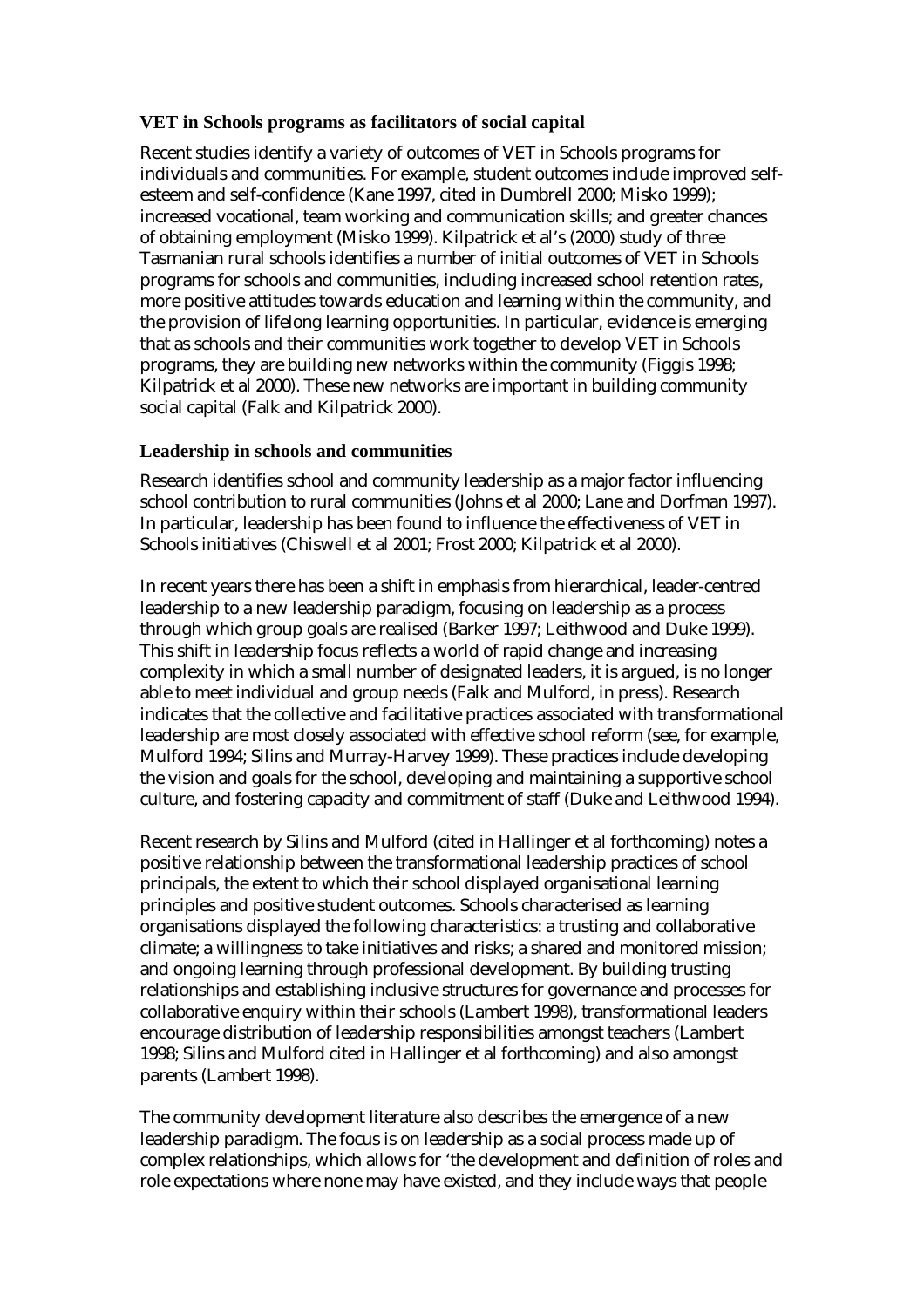#### **VET in Schools programs as facilitators of social capital**

Recent studies identify a variety of outcomes of VET in Schools programs for individuals and communities. For example, student outcomes include improved selfesteem and self-confidence (Kane 1997, cited in Dumbrell 2000; Misko 1999); increased vocational, team working and communication skills; and greater chances of obtaining employment (Misko 1999). Kilpatrick et al's (2000) study of three Tasmanian rural schools identifies a number of initial outcomes of VET in Schools programs for schools and communities, including increased school retention rates, more positive attitudes towards education and learning within the community, and the provision of lifelong learning opportunities. In particular, evidence is emerging that as schools and their communities work together to develop VET in Schools programs, they are building new networks within the community (Figgis 1998; Kilpatrick et al 2000). These new networks are important in building community social capital (Falk and Kilpatrick 2000).

#### **Leadership in schools and communities**

Research identifies school and community leadership as a major factor influencing school contribution to rural communities (Johns et al 2000; Lane and Dorfman 1997). In particular, leadership has been found to influence the effectiveness of VET in Schools initiatives (Chiswell et al 2001; Frost 2000; Kilpatrick et al 2000).

In recent years there has been a shift in emphasis from hierarchical, leader-centred leadership to a new leadership paradigm, focusing on leadership as a process through which group goals are realised (Barker 1997; Leithwood and Duke 1999). This shift in leadership focus reflects a world of rapid change and increasing complexity in which a small number of designated leaders, it is argued, is no longer able to meet individual and group needs (Falk and Mulford, in press). Research indicates that the collective and facilitative practices associated with transformational leadership are most closely associated with effective school reform (see, for example, Mulford 1994; Silins and Murray-Harvey 1999). These practices include developing the vision and goals for the school, developing and maintaining a supportive school culture, and fostering capacity and commitment of staff (Duke and Leithwood 1994).

Recent research by Silins and Mulford (cited in Hallinger et al forthcoming) notes a positive relationship between the transformational leadership practices of school principals, the extent to which their school displayed organisational learning principles and positive student outcomes. Schools characterised as learning organisations displayed the following characteristics: a trusting and collaborative climate; a willingness to take initiatives and risks; a shared and monitored mission; and ongoing learning through professional development. By building trusting relationships and establishing inclusive structures for governance and processes for collaborative enquiry within their schools (Lambert 1998), transformational leaders encourage distribution of leadership responsibilities amongst teachers (Lambert 1998; Silins and Mulford cited in Hallinger et al forthcoming) and also amongst parents (Lambert 1998).

The community development literature also describes the emergence of a new leadership paradigm. The focus is on leadership as a social process made up of complex relationships, which allows for 'the development and definition of roles and role expectations where none may have existed, and they include ways that people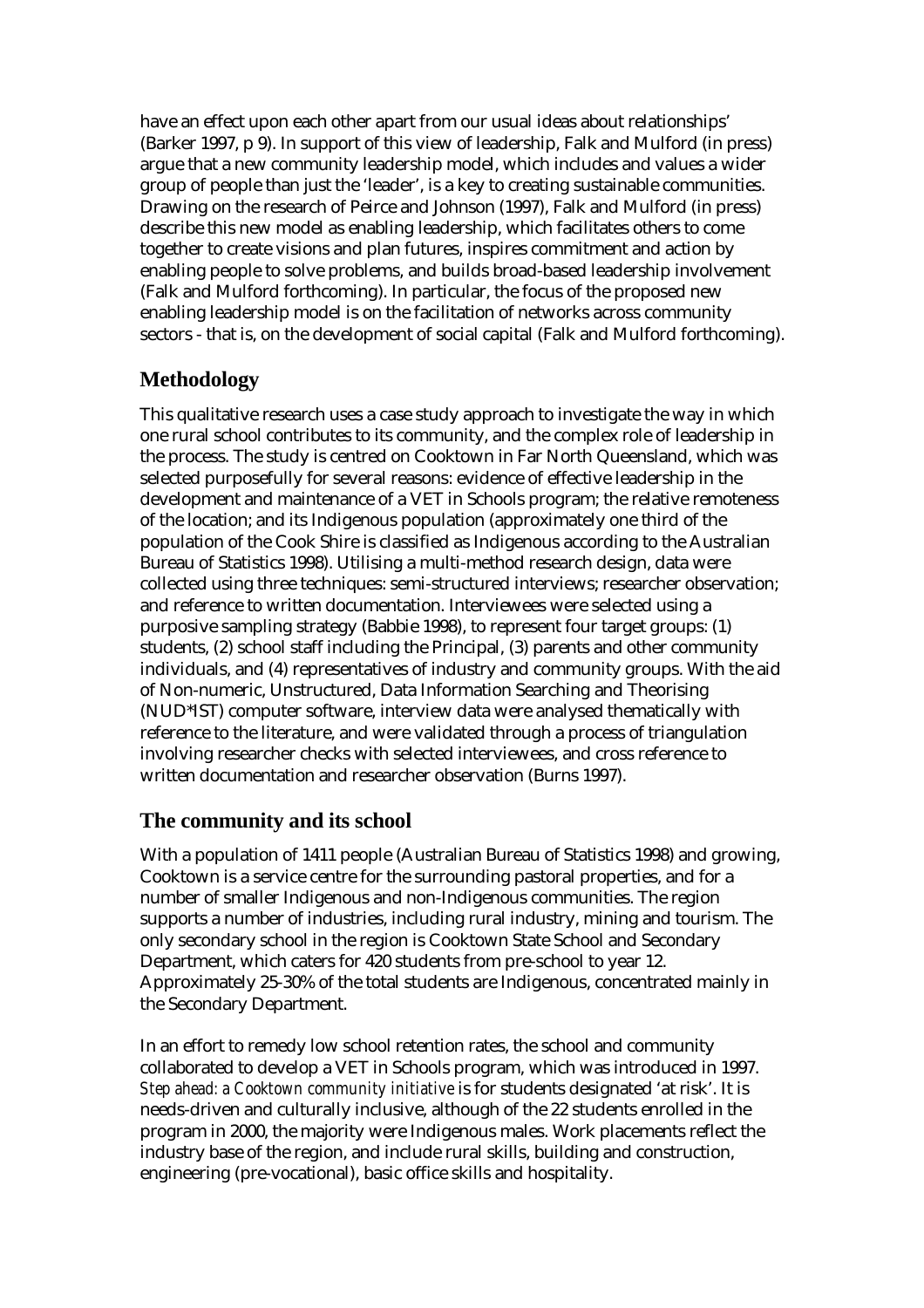have an effect upon each other apart from our usual ideas about relationships' (Barker 1997, p 9). In support of this view of leadership, Falk and Mulford (in press) argue that a new community leadership model, which includes and values a wider group of people than just the 'leader', is a key to creating sustainable communities. Drawing on the research of Peirce and Johnson (1997), Falk and Mulford (in press) describe this new model as enabling leadership, which facilitates others to come together to create visions and plan futures, inspires commitment and action by enabling people to solve problems, and builds broad-based leadership involvement (Falk and Mulford forthcoming). In particular, the focus of the proposed new enabling leadership model is on the facilitation of networks across community sectors - that is, on the development of social capital (Falk and Mulford forthcoming).

# **Methodology**

This qualitative research uses a case study approach to investigate the way in which one rural school contributes to its community, and the complex role of leadership in the process. The study is centred on Cooktown in Far North Queensland, which was selected purposefully for several reasons: evidence of effective leadership in the development and maintenance of a VET in Schools program; the relative remoteness of the location; and its Indigenous population (approximately one third of the population of the Cook Shire is classified as Indigenous according to the Australian Bureau of Statistics 1998). Utilising a multi-method research design, data were collected using three techniques: semi-structured interviews; researcher observation; and reference to written documentation. Interviewees were selected using a purposive sampling strategy (Babbie 1998), to represent four target groups: (1) students, (2) school staff including the Principal, (3) parents and other community individuals, and (4) representatives of industry and community groups. With the aid of Non-numeric, Unstructured, Data Information Searching and Theorising (NUD\*IST) computer software, interview data were analysed thematically with reference to the literature, and were validated through a process of triangulation involving researcher checks with selected interviewees, and cross reference to written documentation and researcher observation (Burns 1997).

## **The community and its school**

With a population of 1411 people (Australian Bureau of Statistics 1998) and growing, Cooktown is a service centre for the surrounding pastoral properties, and for a number of smaller Indigenous and non-Indigenous communities. The region supports a number of industries, including rural industry, mining and tourism. The only secondary school in the region is Cooktown State School and Secondary Department, which caters for 420 students from pre-school to year 12. Approximately 25-30% of the total students are Indigenous, concentrated mainly in the Secondary Department.

In an effort to remedy low school retention rates, the school and community collaborated to develop a VET in Schools program, which was introduced in 1997. *Step ahead: a Cooktown community initiative* is for students designated 'at risk'. It is needs-driven and culturally inclusive, although of the 22 students enrolled in the program in 2000, the majority were Indigenous males. Work placements reflect the industry base of the region, and include rural skills, building and construction, engineering (pre-vocational), basic office skills and hospitality.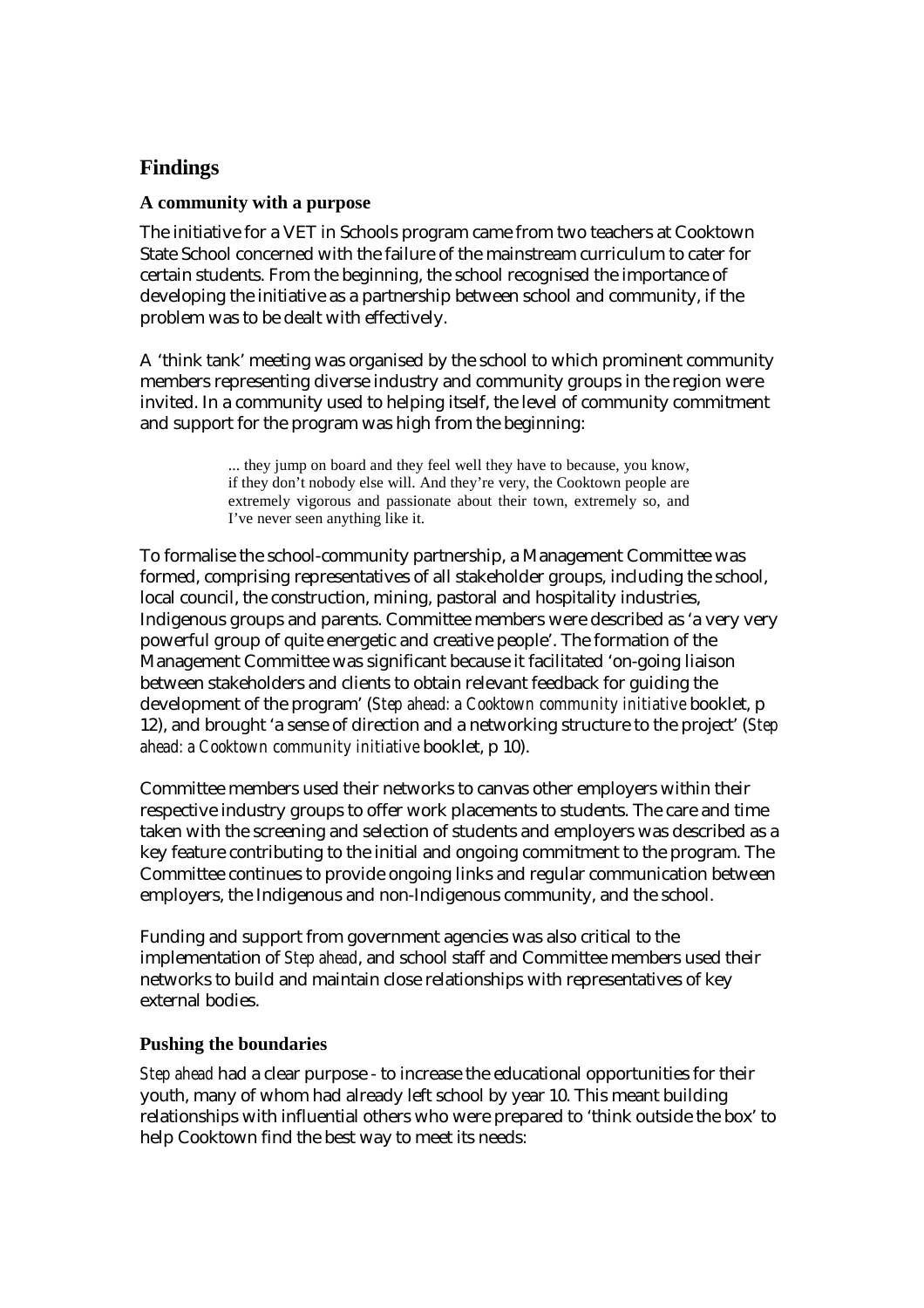# **Findings**

#### **A community with a purpose**

The initiative for a VET in Schools program came from two teachers at Cooktown State School concerned with the failure of the mainstream curriculum to cater for certain students. From the beginning, the school recognised the importance of developing the initiative as a partnership between school and community, if the problem was to be dealt with effectively.

A 'think tank' meeting was organised by the school to which prominent community members representing diverse industry and community groups in the region were invited. In a community used to helping itself, the level of community commitment and support for the program was high from the beginning:

> ... they jump on board and they feel well they have to because, you know, if they don't nobody else will. And they're very, the Cooktown people are extremely vigorous and passionate about their town, extremely so, and I've never seen anything like it.

To formalise the school-community partnership, a Management Committee was formed, comprising representatives of all stakeholder groups, including the school, local council, the construction, mining, pastoral and hospitality industries, Indigenous groups and parents. Committee members were described as 'a very very powerful group of quite energetic and creative people'. The formation of the Management Committee was significant because it facilitated 'on-going liaison between stakeholders and clients to obtain relevant feedback for guiding the development of the program' (*Step ahead: a Cooktown community initiative* booklet, p 12), and brought 'a sense of direction and a networking structure to the project' (*Step ahead: a Cooktown community initiative* booklet, p 10).

Committee members used their networks to canvas other employers within their respective industry groups to offer work placements to students. The care and time taken with the screening and selection of students and employers was described as a key feature contributing to the initial and ongoing commitment to the program. The Committee continues to provide ongoing links and regular communication between employers, the Indigenous and non-Indigenous community, and the school.

Funding and support from government agencies was also critical to the implementation of *Step ahead*, and school staff and Committee members used their networks to build and maintain close relationships with representatives of key external bodies.

#### **Pushing the boundaries**

*Step ahead* had a clear purpose - to increase the educational opportunities for their youth, many of whom had already left school by year 10. This meant building relationships with influential others who were prepared to 'think outside the box' to help Cooktown find the best way to meet its needs: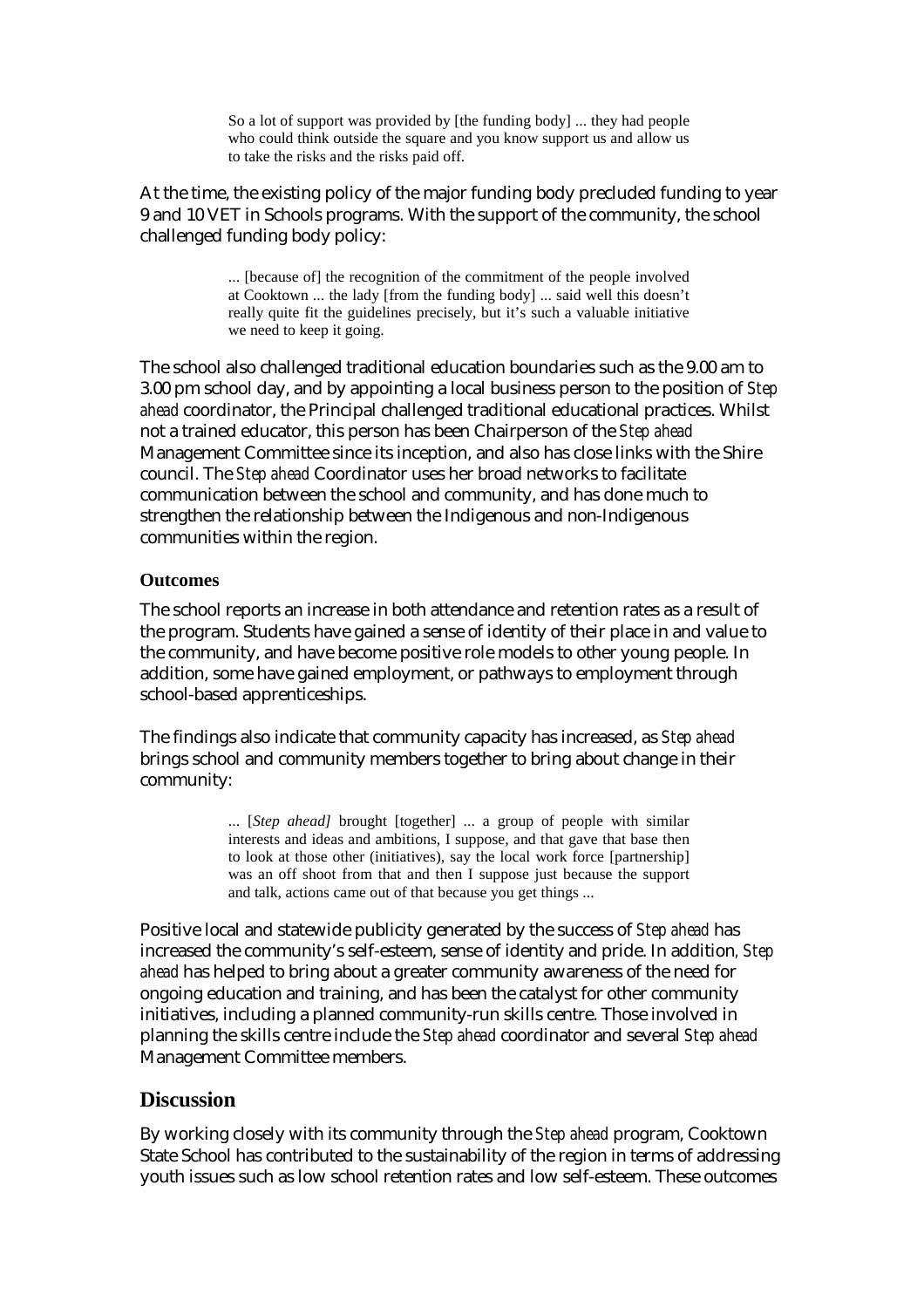So a lot of support was provided by [the funding body] ... they had people who could think outside the square and you know support us and allow us to take the risks and the risks paid off.

At the time, the existing policy of the major funding body precluded funding to year 9 and 10 VET in Schools programs. With the support of the community, the school challenged funding body policy:

> ... [because of] the recognition of the commitment of the people involved at Cooktown ... the lady [from the funding body] ... said well this doesn't really quite fit the guidelines precisely, but it's such a valuable initiative we need to keep it going.

The school also challenged traditional education boundaries such as the 9.00 am to 3.00 pm school day, and by appointing a local business person to the position of *Step ahead* coordinator, the Principal challenged traditional educational practices. Whilst not a trained educator, this person has been Chairperson of the *Step ahead* Management Committee since its inception, and also has close links with the Shire council. The *Step ahead* Coordinator uses her broad networks to facilitate communication between the school and community, and has done much to strengthen the relationship between the Indigenous and non-Indigenous communities within the region.

#### **Outcomes**

The school reports an increase in both attendance and retention rates as a result of the program. Students have gained a sense of identity of their place in and value to the community, and have become positive role models to other young people. In addition, some have gained employment, or pathways to employment through school-based apprenticeships.

The findings also indicate that community capacity has increased, as *Step ahead* brings school and community members together to bring about change in their community:

> ... [*Step ahead]* brought [together] ... a group of people with similar interests and ideas and ambitions, I suppose, and that gave that base then to look at those other (initiatives), say the local work force [partnership] was an off shoot from that and then I suppose just because the support and talk, actions came out of that because you get things ...

Positive local and statewide publicity generated by the success of *Step ahead* has increased the community's self-esteem, sense of identity and pride. In addition*, Step ahead* has helped to bring about a greater community awareness of the need for ongoing education and training, and has been the catalyst for other community initiatives, including a planned community-run skills centre. Those involved in planning the skills centre include the *Step ahead* coordinator and several *Step ahead* Management Committee members.

#### **Discussion**

By working closely with its community through the *Step ahead* program, Cooktown State School has contributed to the sustainability of the region in terms of addressing youth issues such as low school retention rates and low self-esteem. These outcomes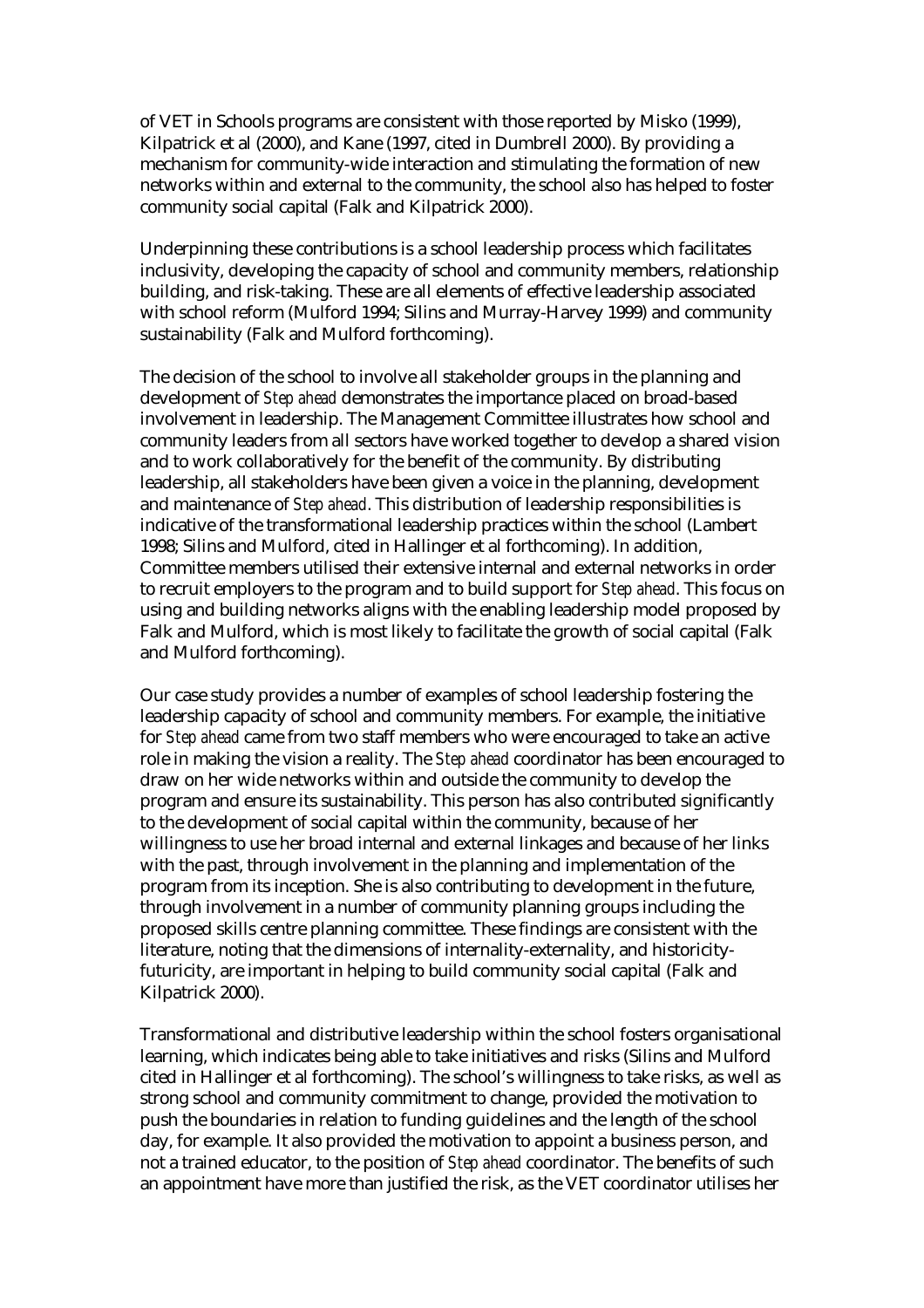of VET in Schools programs are consistent with those reported by Misko (1999), Kilpatrick et al (2000), and Kane (1997, cited in Dumbrell 2000). By providing a mechanism for community-wide interaction and stimulating the formation of new networks within and external to the community, the school also has helped to foster community social capital (Falk and Kilpatrick 2000).

Underpinning these contributions is a school leadership process which facilitates inclusivity, developing the capacity of school and community members, relationship building, and risk-taking. These are all elements of effective leadership associated with school reform (Mulford 1994; Silins and Murray-Harvey 1999) and community sustainability (Falk and Mulford forthcoming).

The decision of the school to involve all stakeholder groups in the planning and development of *Step ahead* demonstrates the importance placed on broad-based involvement in leadership. The Management Committee illustrates how school and community leaders from all sectors have worked together to develop a shared vision and to work collaboratively for the benefit of the community. By distributing leadership, all stakeholders have been given a voice in the planning, development and maintenance of *Step ahead*. This distribution of leadership responsibilities is indicative of the transformational leadership practices within the school (Lambert 1998; Silins and Mulford, cited in Hallinger et al forthcoming). In addition, Committee members utilised their extensive internal and external networks in order to recruit employers to the program and to build support for *Step ahead*. This focus on using and building networks aligns with the enabling leadership model proposed by Falk and Mulford, which is most likely to facilitate the growth of social capital (Falk and Mulford forthcoming).

Our case study provides a number of examples of school leadership fostering the leadership capacity of school and community members. For example, the initiative for *Step ahead* came from two staff members who were encouraged to take an active role in making the vision a reality. The *Step ahead* coordinator has been encouraged to draw on her wide networks within and outside the community to develop the program and ensure its sustainability. This person has also contributed significantly to the development of social capital within the community, because of her willingness to use her broad internal and external linkages and because of her links with the past, through involvement in the planning and implementation of the program from its inception. She is also contributing to development in the future, through involvement in a number of community planning groups including the proposed skills centre planning committee. These findings are consistent with the literature, noting that the dimensions of internality-externality, and historicityfuturicity, are important in helping to build community social capital (Falk and Kilpatrick 2000).

Transformational and distributive leadership within the school fosters organisational learning, which indicates being able to take initiatives and risks (Silins and Mulford cited in Hallinger et al forthcoming). The school's willingness to take risks, as well as strong school and community commitment to change, provided the motivation to push the boundaries in relation to funding guidelines and the length of the school day, for example. It also provided the motivation to appoint a business person, and not a trained educator, to the position of *Step ahead* coordinator. The benefits of such an appointment have more than justified the risk, as the VET coordinator utilises her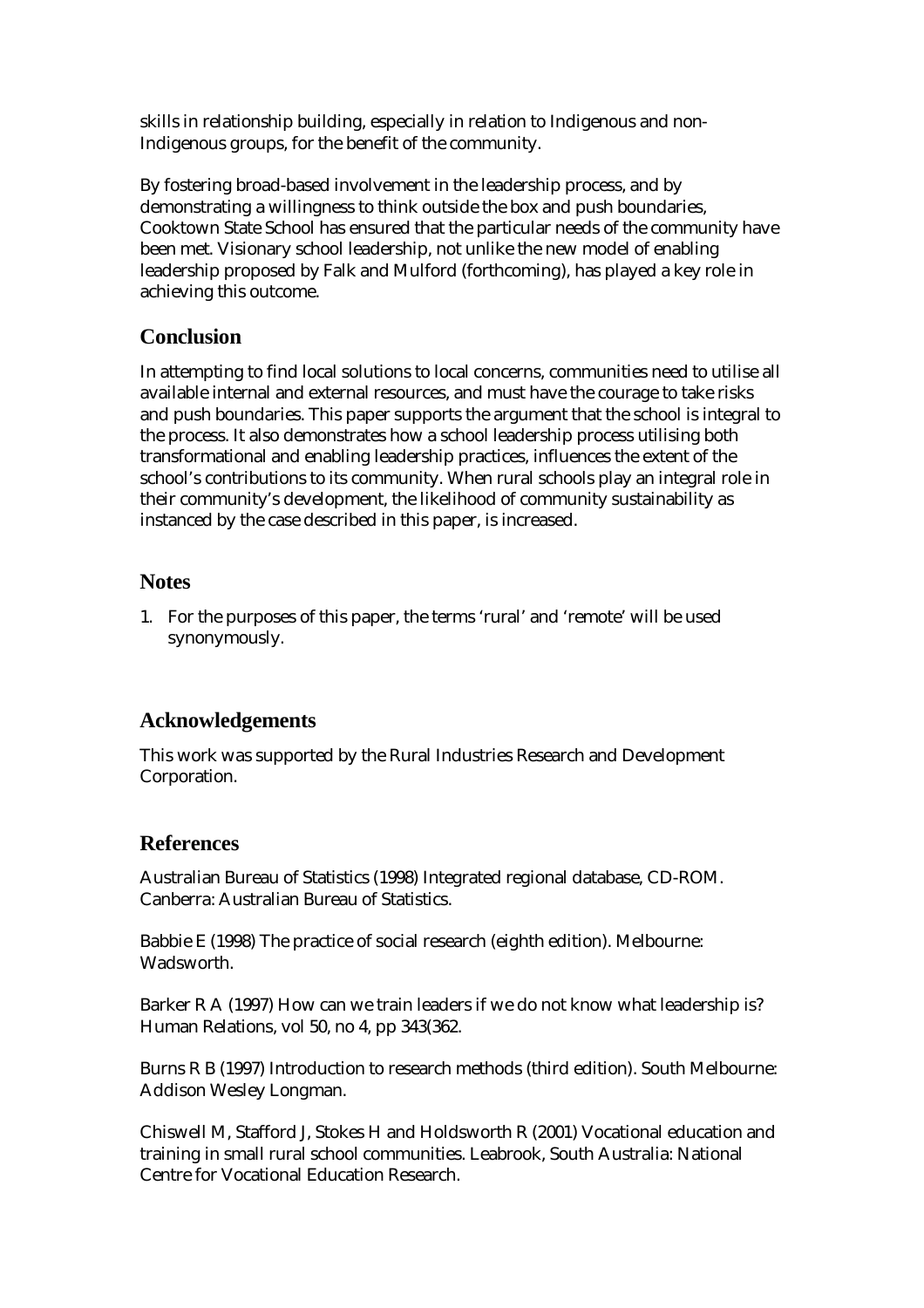skills in relationship building, especially in relation to Indigenous and non-Indigenous groups, for the benefit of the community.

By fostering broad-based involvement in the leadership process, and by demonstrating a willingness to think outside the box and push boundaries, Cooktown State School has ensured that the particular needs of the community have been met. Visionary school leadership, not unlike the new model of enabling leadership proposed by Falk and Mulford (forthcoming), has played a key role in achieving this outcome.

# **Conclusion**

In attempting to find local solutions to local concerns, communities need to utilise all available internal and external resources, and must have the courage to take risks and push boundaries. This paper supports the argument that the school is integral to the process. It also demonstrates how a school leadership process utilising both transformational and enabling leadership practices, influences the extent of the school's contributions to its community. When rural schools play an integral role in their community's development, the likelihood of community sustainability as instanced by the case described in this paper, is increased.

### **Notes**

1. For the purposes of this paper, the terms 'rural' and 'remote' will be used synonymously.

# **Acknowledgements**

This work was supported by the Rural Industries Research and Development Corporation.

## **References**

Australian Bureau of Statistics (1998) Integrated regional database, CD-ROM. Canberra: Australian Bureau of Statistics.

Babbie E (1998) The practice of social research (eighth edition). Melbourne: Wadsworth.

Barker R A (1997) How can we train leaders if we do not know what leadership is? Human Relations, vol 50, no 4, pp 343(362.

Burns R B (1997) Introduction to research methods (third edition). South Melbourne: Addison Wesley Longman.

Chiswell M, Stafford J, Stokes H and Holdsworth R (2001) Vocational education and training in small rural school communities. Leabrook, South Australia: National Centre for Vocational Education Research.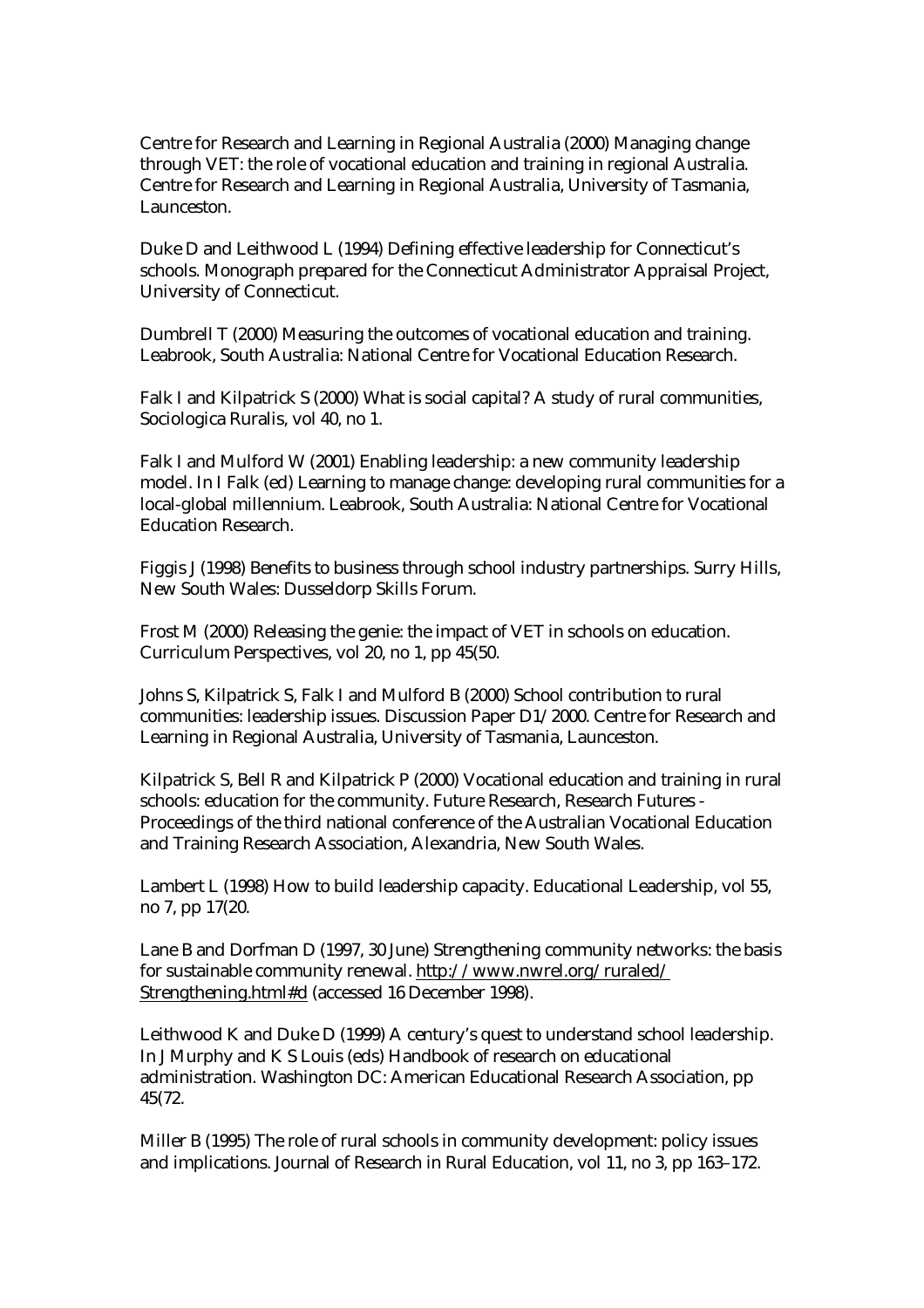Centre for Research and Learning in Regional Australia (2000) Managing change through VET: the role of vocational education and training in regional Australia. Centre for Research and Learning in Regional Australia, University of Tasmania, Launceston.

Duke D and Leithwood L (1994) Defining effective leadership for Connecticut's schools. Monograph prepared for the Connecticut Administrator Appraisal Project, University of Connecticut.

Dumbrell T (2000) Measuring the outcomes of vocational education and training. Leabrook, South Australia: National Centre for Vocational Education Research.

Falk I and Kilpatrick S (2000) What is social capital? A study of rural communities, Sociologica Ruralis, vol 40, no 1.

Falk I and Mulford W (2001) Enabling leadership: a new community leadership model. In I Falk (ed) Learning to manage change: developing rural communities for a local-global millennium. Leabrook, South Australia: National Centre for Vocational Education Research.

Figgis J (1998) Benefits to business through school industry partnerships. Surry Hills, New South Wales: Dusseldorp Skills Forum.

Frost M (2000) Releasing the genie: the impact of VET in schools on education. Curriculum Perspectives, vol 20, no 1, pp 45(50.

Johns S, Kilpatrick S, Falk I and Mulford B (2000) School contribution to rural communities: leadership issues. Discussion Paper D1/2000. Centre for Research and Learning in Regional Australia, University of Tasmania, Launceston.

Kilpatrick S, Bell R and Kilpatrick P (2000) Vocational education and training in rural schools: education for the community. Future Research, Research Futures - Proceedings of the third national conference of the Australian Vocational Education and Training Research Association, Alexandria, New South Wales.

Lambert L (1998) How to build leadership capacity. Educational Leadership, vol 55, no 7, pp 17(20.

Lane B and Dorfman D (1997, 30 June) Strengthening community networks: the basis for sustainable community renewal. http://www.nwrel.org/ruraled/ Strengthening.html#d (accessed 16 December 1998).

Leithwood K and Duke D (1999) A century's quest to understand school leadership. In J Murphy and K S Louis (eds) Handbook of research on educational administration. Washington DC: American Educational Research Association, pp 45(72.

Miller B (1995) The role of rural schools in community development: policy issues and implications. Journal of Research in Rural Education, vol 11, no 3, pp 163–172.